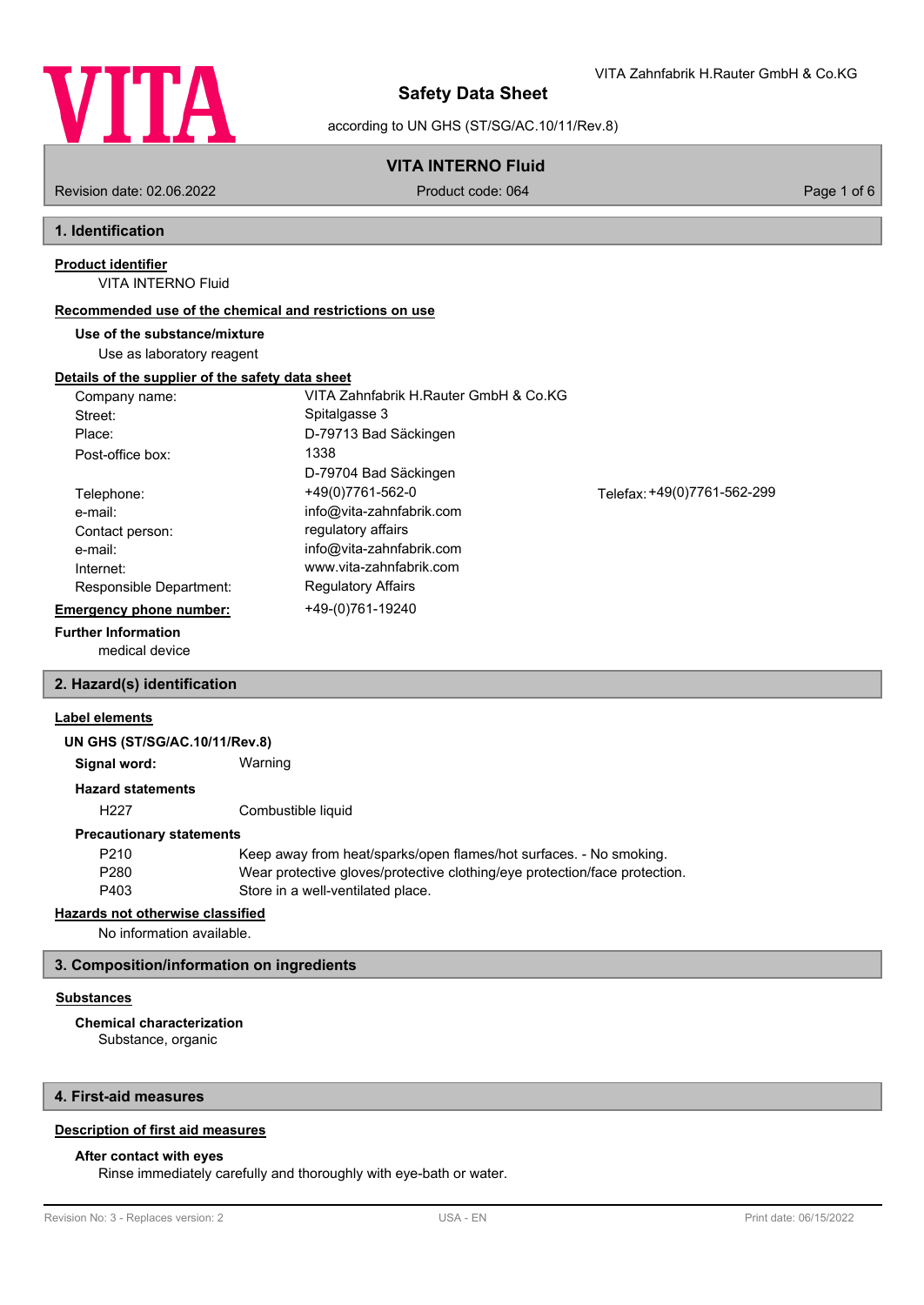

VITA Zahnfabrik H.Rauter GmbH & Co.KG

according to UN GHS (ST/SG/AC.10/11/Rev.8)

# **VITA INTERNO Fluid**

Revision date: 02.06.2022 Product code: 064 Page 1 of 6

# **1. Identification**

# **Product identifier**

VITA INTERNO Fluid

# **Recommended use of the chemical and restrictions on use**

# **Use of the substance/mixture**

Use as laboratory reagent

# **Details of the supplier of the safety data sheet**

| Company name:                  | VITA Zahnfabrik H.Rauter GmbH & Co.KG |                             |
|--------------------------------|---------------------------------------|-----------------------------|
| Street:                        | Spitalgasse 3                         |                             |
| Place:                         | D-79713 Bad Säckingen                 |                             |
| Post-office box:               | 1338                                  |                             |
|                                | D-79704 Bad Säckingen                 |                             |
| Telephone:                     | +49(0)7761-562-0                      | Telefax: +49(0)7761-562-299 |
| e-mail:                        | info@vita-zahnfabrik.com              |                             |
| Contact person:                | regulatory affairs                    |                             |
| e-mail:                        | info@vita-zahnfabrik.com              |                             |
| Internet:                      | www.vita-zahnfabrik.com               |                             |
| Responsible Department:        | <b>Regulatory Affairs</b>             |                             |
| <b>Emergency phone number:</b> | +49-(0)761-19240                      |                             |
|                                |                                       |                             |

# **Further Information**

medical device

## **2. Hazard(s) identification**

## **Label elements**

| <b>UN GHS (ST/SG/AC.10/11/Rev.8)</b> |                                                                            |
|--------------------------------------|----------------------------------------------------------------------------|
| Signal word:                         | Warning                                                                    |
| <b>Hazard statements</b>             |                                                                            |
| H <sub>22</sub> 7                    | Combustible liquid                                                         |
| <b>Precautionary statements</b>      |                                                                            |
| P <sub>210</sub>                     | Keep away from heat/sparks/open flames/hot surfaces. - No smoking.         |
| P <sub>280</sub>                     | Wear protective gloves/protective clothing/eye protection/face protection. |
| P403                                 | Store in a well-ventilated place.                                          |

## **Hazards not otherwise classified**

No information available.

# **3. Composition/information on ingredients**

# **Substances**

Substance, organic **Chemical characterization**

# **4. First-aid measures**

# **Description of first aid measures**

# **After contact with eyes**

Rinse immediately carefully and thoroughly with eye-bath or water.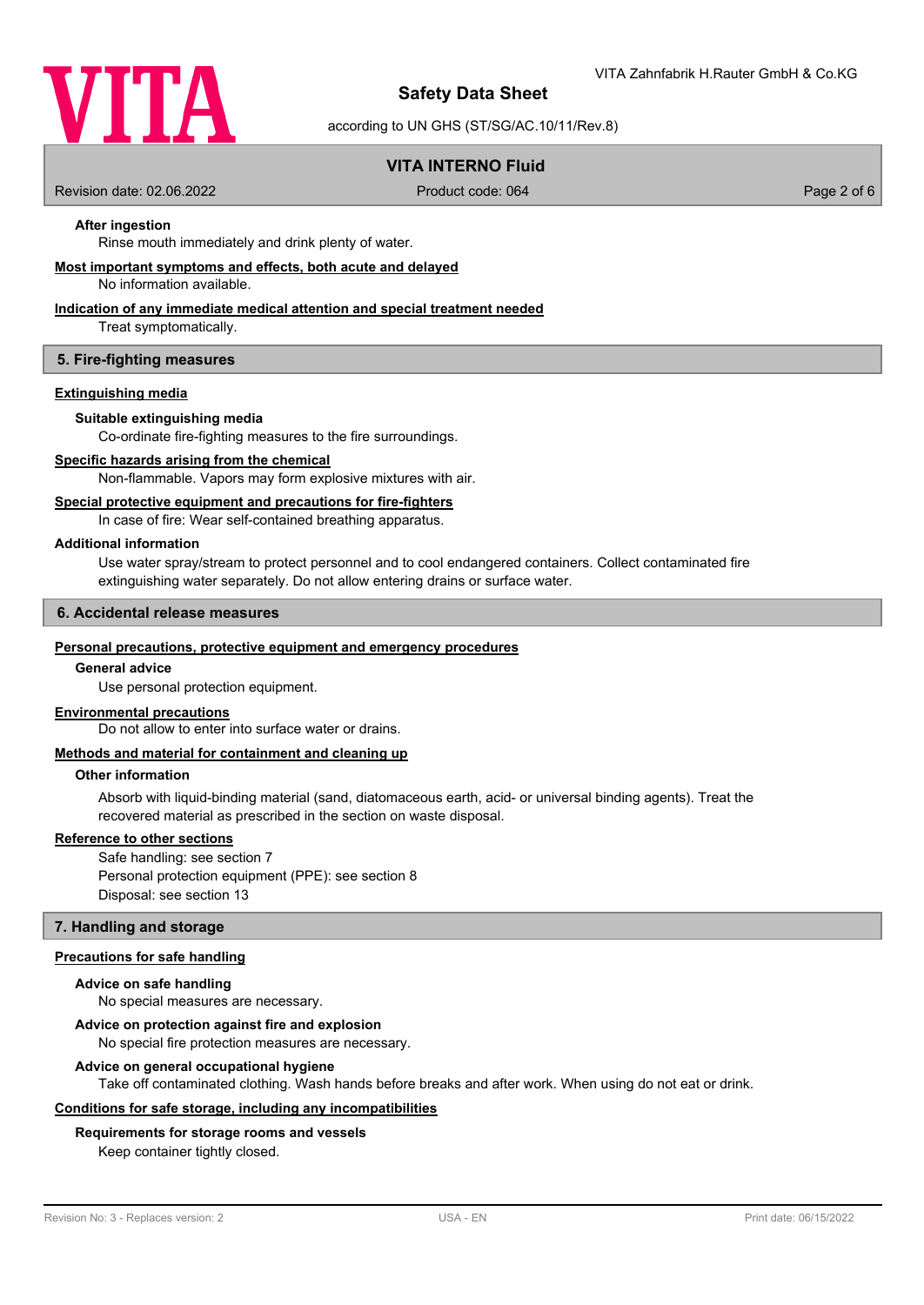

according to UN GHS (ST/SG/AC.10/11/Rev.8)

# **VITA INTERNO Fluid**

Revision date: 02.06.2022 Product code: 064 Page 2 of 6

## **After ingestion**

Rinse mouth immediately and drink plenty of water.

### **Most important symptoms and effects, both acute and delayed**

No information available.

## **Indication of any immediate medical attention and special treatment needed**

Treat symptomatically.

## **5. Fire-fighting measures**

## **Extinguishing media**

#### **Suitable extinguishing media**

Co-ordinate fire-fighting measures to the fire surroundings.

#### **Specific hazards arising from the chemical**

Non-flammable. Vapors may form explosive mixtures with air.

## **Special protective equipment and precautions for fire-fighters**

In case of fire: Wear self-contained breathing apparatus.

#### **Additional information**

Use water spray/stream to protect personnel and to cool endangered containers. Collect contaminated fire extinguishing water separately. Do not allow entering drains or surface water.

#### **6. Accidental release measures**

#### **Personal precautions, protective equipment and emergency procedures**

### **General advice**

Use personal protection equipment.

#### **Environmental precautions**

Do not allow to enter into surface water or drains.

## **Methods and material for containment and cleaning up**

### **Other information**

Absorb with liquid-binding material (sand, diatomaceous earth, acid- or universal binding agents). Treat the recovered material as prescribed in the section on waste disposal.

## **Reference to other sections**

Safe handling: see section 7 Personal protection equipment (PPE): see section 8 Disposal: see section 13

## **7. Handling and storage**

#### **Precautions for safe handling**

#### **Advice on safe handling**

No special measures are necessary.

### **Advice on protection against fire and explosion**

No special fire protection measures are necessary.

#### **Advice on general occupational hygiene**

Take off contaminated clothing. Wash hands before breaks and after work. When using do not eat or drink.

### **Conditions for safe storage, including any incompatibilities**

## **Requirements for storage rooms and vessels**

Keep container tightly closed.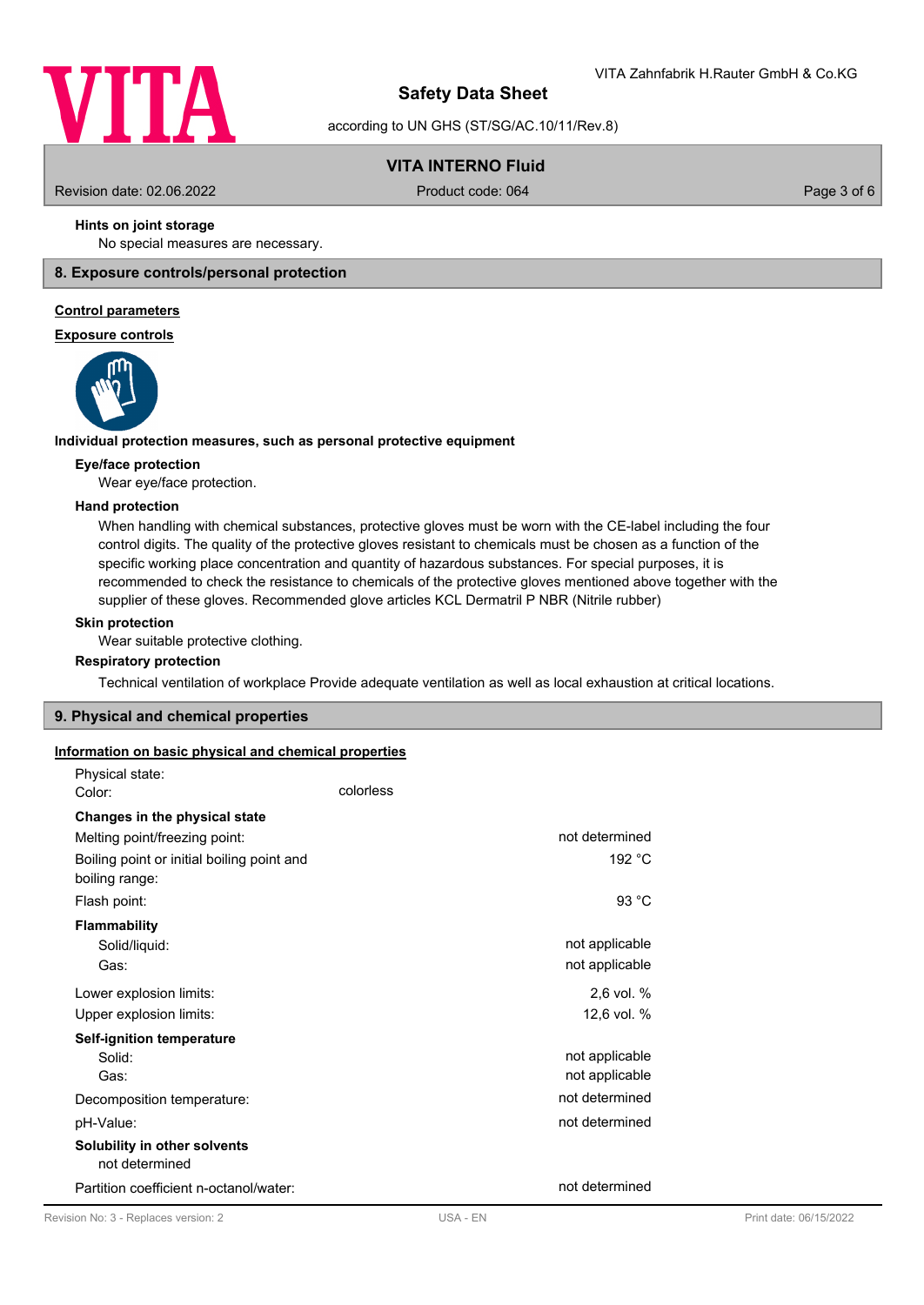

according to UN GHS (ST/SG/AC.10/11/Rev.8)

# **VITA INTERNO Fluid**

Revision date: 02.06.2022 Product code: 064 Page 3 of 6

## **Hints on joint storage**

No special measures are necessary.

## **8. Exposure controls/personal protection**

## **Control parameters**

## **Exposure controls**



## **Individual protection measures, such as personal protective equipment**

#### **Eye/face protection**

Wear eye/face protection.

## **Hand protection**

When handling with chemical substances, protective gloves must be worn with the CE-label including the four control digits. The quality of the protective gloves resistant to chemicals must be chosen as a function of the specific working place concentration and quantity of hazardous substances. For special purposes, it is recommended to check the resistance to chemicals of the protective gloves mentioned above together with the supplier of these gloves. Recommended glove articles KCL Dermatril P NBR (Nitrile rubber)

#### **Skin protection**

Wear suitable protective clothing.

## **Respiratory protection**

Technical ventilation of workplace Provide adequate ventilation as well as local exhaustion at critical locations.

## **9. Physical and chemical properties**

#### **Information on basic physical and chemical properties**

| Physical state:                                |                |
|------------------------------------------------|----------------|
| Color:                                         | colorless      |
| <b>Changes in the physical state</b>           |                |
| Melting point/freezing point:                  | not determined |
| Boiling point or initial boiling point and     | 192 °C         |
| boiling range:                                 |                |
| Flash point:                                   | 93 °C          |
| <b>Flammability</b>                            |                |
| Solid/liquid:                                  | not applicable |
| Gas:                                           | not applicable |
| Lower explosion limits:                        | 2,6 vol. %     |
| Upper explosion limits:                        | 12,6 vol. %    |
| Self-ignition temperature                      |                |
| Solid:                                         | not applicable |
| Gas:                                           | not applicable |
| Decomposition temperature:                     | not determined |
| pH-Value:                                      | not determined |
| Solubility in other solvents<br>not determined |                |
| Partition coefficient n-octanol/water:         | not determined |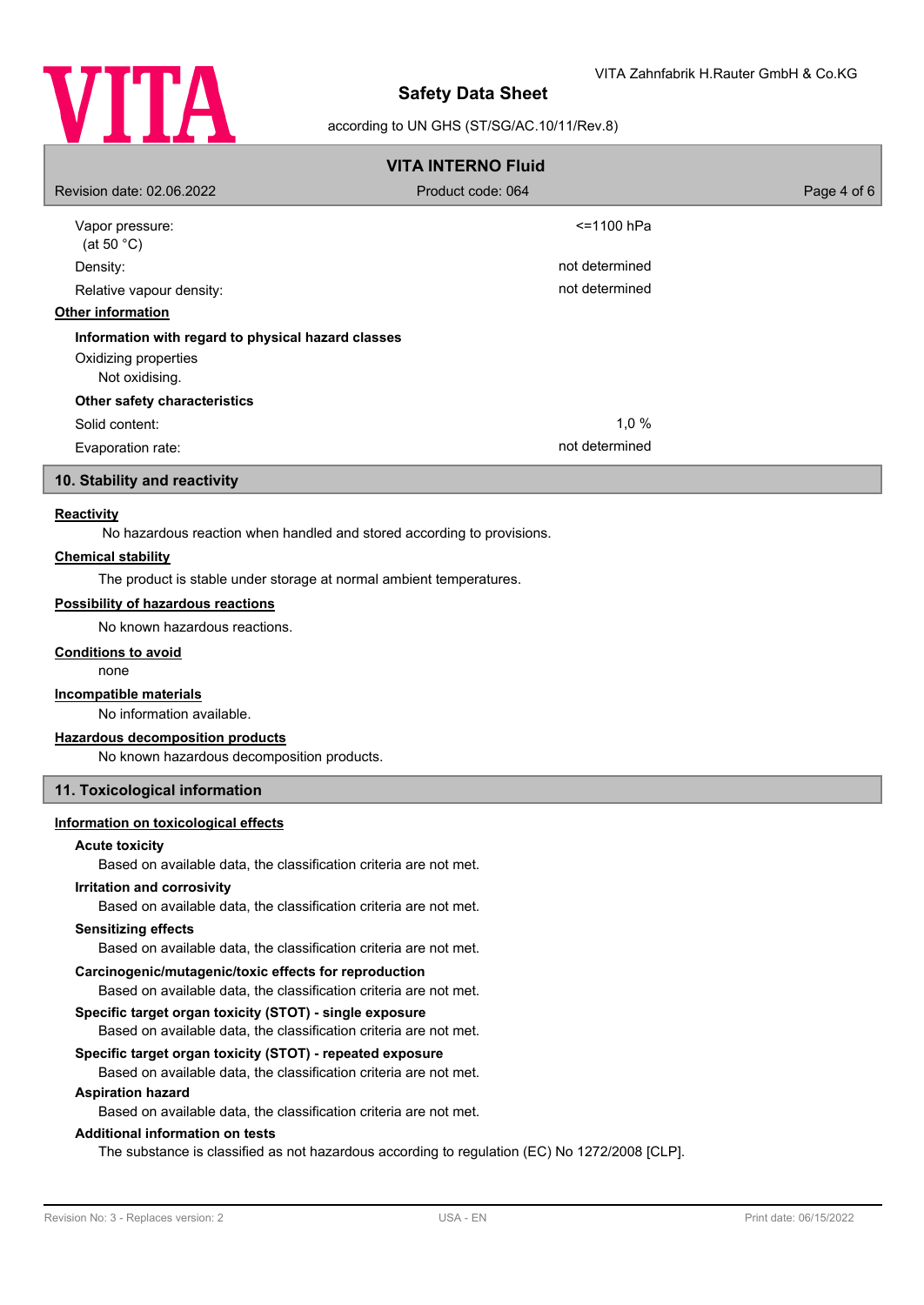

## according to UN GHS (ST/SG/AC.10/11/Rev.8)

| <b>VITA INTERNO Fluid</b>                          |                   |             |  |  |
|----------------------------------------------------|-------------------|-------------|--|--|
| Revision date: 02.06.2022                          | Product code: 064 | Page 4 of 6 |  |  |
| Vapor pressure:<br>(at 50 $^{\circ}$ C)            | $<$ =1100 hPa     |             |  |  |
| Density:                                           | not determined    |             |  |  |
| Relative vapour density:                           | not determined    |             |  |  |
| <b>Other information</b>                           |                   |             |  |  |
| Information with regard to physical hazard classes |                   |             |  |  |
| Oxidizing properties<br>Not oxidising.             |                   |             |  |  |
| Other safety characteristics                       |                   |             |  |  |
| Solid content:                                     | 1,0%              |             |  |  |
| Evaporation rate:                                  | not determined    |             |  |  |

### **10. Stability and reactivity**

## **Reactivity**

No hazardous reaction when handled and stored according to provisions.

#### **Chemical stability**

The product is stable under storage at normal ambient temperatures.

### **Possibility of hazardous reactions**

No known hazardous reactions.

#### **Conditions to avoid**

none

#### **Incompatible materials**

No information available.

#### **Hazardous decomposition products**

No known hazardous decomposition products.

## **11. Toxicological information**

### **Information on toxicological effects**

## **Acute toxicity**

Based on available data, the classification criteria are not met.

#### **Irritation and corrosivity**

Based on available data, the classification criteria are not met.

#### **Sensitizing effects**

Based on available data, the classification criteria are not met.

### **Carcinogenic/mutagenic/toxic effects for reproduction**

Based on available data, the classification criteria are not met.

## **Specific target organ toxicity (STOT) - single exposure**

Based on available data, the classification criteria are not met.

#### **Specific target organ toxicity (STOT) - repeated exposure**

Based on available data, the classification criteria are not met.

#### **Aspiration hazard**

Based on available data, the classification criteria are not met.

## **Additional information on tests**

The substance is classified as not hazardous according to regulation (EC) No 1272/2008 [CLP].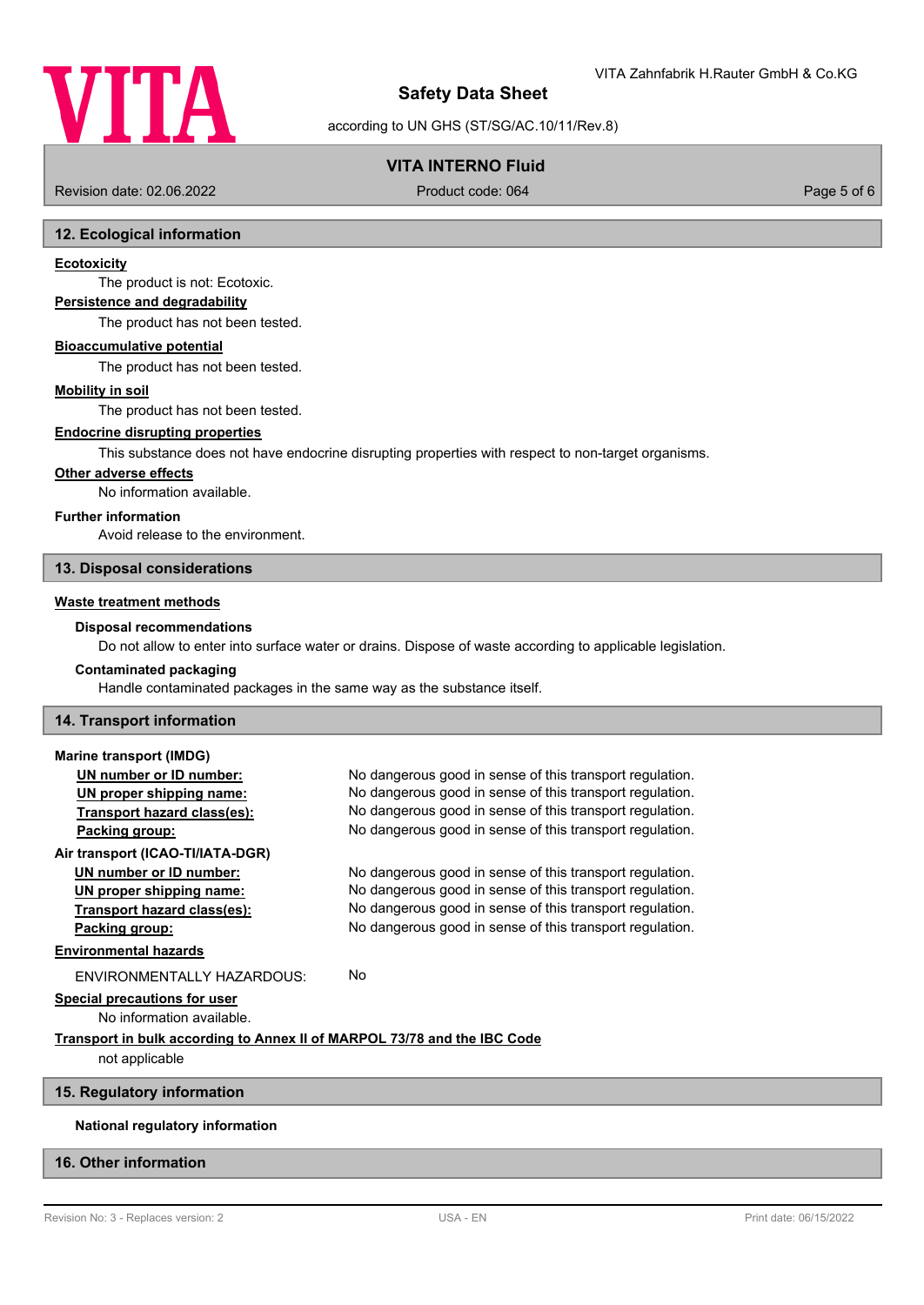

according to UN GHS (ST/SG/AC.10/11/Rev.8)

# **VITA INTERNO Fluid**

Revision date: 02.06.2022 Product code: 064 Page 5 of 6

### **12. Ecological information**

#### **Ecotoxicity**

The product is not: Ecotoxic.

## **Persistence and degradability**

The product has not been tested.

#### **Bioaccumulative potential**

The product has not been tested.

#### **Mobility in soil**

The product has not been tested.

## **Endocrine disrupting properties**

This substance does not have endocrine disrupting properties with respect to non-target organisms.

#### **Other adverse effects**

No information available.

## **Further information**

Avoid release to the environment.

#### **13. Disposal considerations**

## **Waste treatment methods**

## **Disposal recommendations**

Do not allow to enter into surface water or drains. Dispose of waste according to applicable legislation.

#### **Contaminated packaging**

Handle contaminated packages in the same way as the substance itself.

#### **14. Transport information**

| <b>Marine transport (IMDG)</b>                                           |                                                          |  |
|--------------------------------------------------------------------------|----------------------------------------------------------|--|
| UN number or ID number:                                                  | No dangerous good in sense of this transport regulation. |  |
| UN proper shipping name:                                                 | No dangerous good in sense of this transport regulation. |  |
| Transport hazard class(es):                                              | No dangerous good in sense of this transport regulation. |  |
| Packing group:                                                           | No dangerous good in sense of this transport regulation. |  |
| Air transport (ICAO-TI/IATA-DGR)                                         |                                                          |  |
| UN number or ID number:                                                  | No dangerous good in sense of this transport regulation. |  |
| UN proper shipping name:                                                 | No dangerous good in sense of this transport regulation. |  |
| Transport hazard class(es):                                              | No dangerous good in sense of this transport regulation. |  |
| Packing group:                                                           | No dangerous good in sense of this transport regulation. |  |
| <b>Environmental hazards</b>                                             |                                                          |  |
| FNVIRONMENTALLY HAZARDOUS:                                               | No                                                       |  |
| Special precautions for user                                             |                                                          |  |
| No information available.                                                |                                                          |  |
| Transport in bulk according to Annex II of MARPOL 73/78 and the IBC Code |                                                          |  |
| not applicable                                                           |                                                          |  |
| 15. Regulatory information                                               |                                                          |  |

#### **National regulatory information**

## **16. Other information**